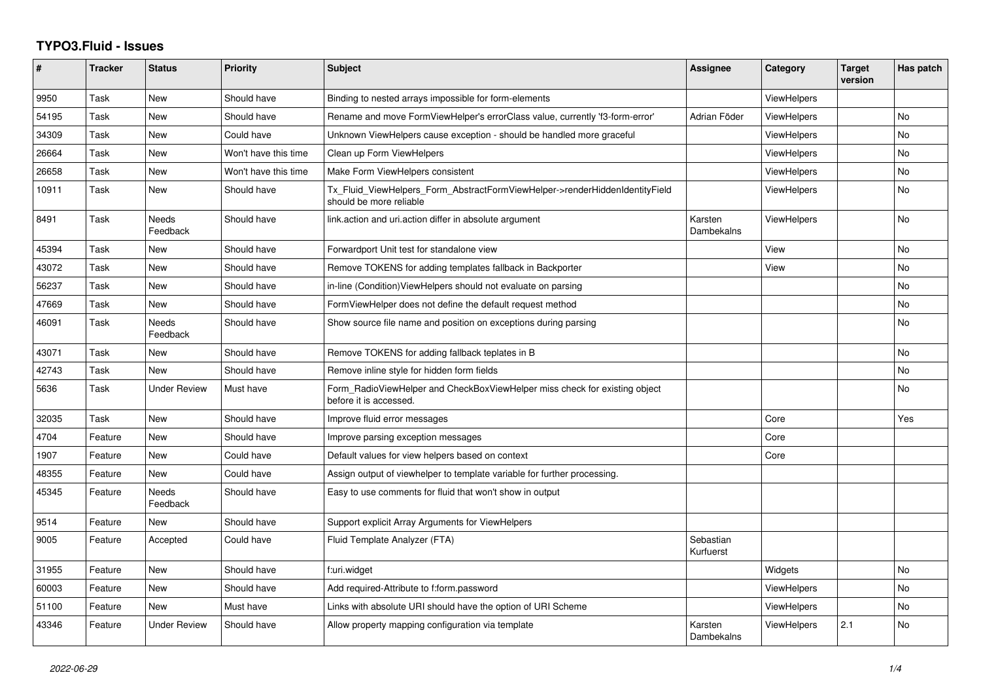## **TYPO3.Fluid - Issues**

| #     | <b>Tracker</b> | <b>Status</b>            | <b>Priority</b>      | <b>Subject</b>                                                                                         | Assignee               | Category           | <b>Target</b><br>version | Has patch |
|-------|----------------|--------------------------|----------------------|--------------------------------------------------------------------------------------------------------|------------------------|--------------------|--------------------------|-----------|
| 9950  | Task           | <b>New</b>               | Should have          | Binding to nested arrays impossible for form-elements                                                  |                        | <b>ViewHelpers</b> |                          |           |
| 54195 | Task           | New                      | Should have          | Rename and move FormViewHelper's errorClass value, currently 'f3-form-error'                           | Adrian Föder           | ViewHelpers        |                          | <b>No</b> |
| 34309 | Task           | New                      | Could have           | Unknown ViewHelpers cause exception - should be handled more graceful                                  |                        | <b>ViewHelpers</b> |                          | No        |
| 26664 | Task           | <b>New</b>               | Won't have this time | Clean up Form ViewHelpers                                                                              |                        | ViewHelpers        |                          | <b>No</b> |
| 26658 | Task           | New                      | Won't have this time | Make Form ViewHelpers consistent                                                                       |                        | <b>ViewHelpers</b> |                          | <b>No</b> |
| 10911 | Task           | <b>New</b>               | Should have          | Tx_Fluid_ViewHelpers_Form_AbstractFormViewHelper->renderHiddenIdentityField<br>should be more reliable |                        | <b>ViewHelpers</b> |                          | <b>No</b> |
| 8491  | Task           | <b>Needs</b><br>Feedback | Should have          | link.action and uri.action differ in absolute argument                                                 | Karsten<br>Dambekalns  | ViewHelpers        |                          | <b>No</b> |
| 45394 | Task           | New                      | Should have          | Forwardport Unit test for standalone view                                                              |                        | View               |                          | <b>No</b> |
| 43072 | Task           | <b>New</b>               | Should have          | Remove TOKENS for adding templates fallback in Backporter                                              |                        | View               |                          | <b>No</b> |
| 56237 | Task           | New                      | Should have          | in-line (Condition) View Helpers should not evaluate on parsing                                        |                        |                    |                          | No        |
| 47669 | Task           | New                      | Should have          | FormViewHelper does not define the default request method                                              |                        |                    |                          | No        |
| 46091 | Task           | <b>Needs</b><br>Feedback | Should have          | Show source file name and position on exceptions during parsing                                        |                        |                    |                          | <b>No</b> |
| 43071 | Task           | New                      | Should have          | Remove TOKENS for adding fallback teplates in B                                                        |                        |                    |                          | No        |
| 42743 | Task           | <b>New</b>               | Should have          | Remove inline style for hidden form fields                                                             |                        |                    |                          | <b>No</b> |
| 5636  | Task           | Under Review             | Must have            | Form_RadioViewHelper and CheckBoxViewHelper miss check for existing object<br>before it is accessed.   |                        |                    |                          | <b>No</b> |
| 32035 | Task           | New                      | Should have          | Improve fluid error messages                                                                           |                        | Core               |                          | Yes       |
| 4704  | Feature        | New                      | Should have          | Improve parsing exception messages                                                                     |                        | Core               |                          |           |
| 1907  | Feature        | New                      | Could have           | Default values for view helpers based on context                                                       |                        | Core               |                          |           |
| 48355 | Feature        | <b>New</b>               | Could have           | Assign output of viewhelper to template variable for further processing.                               |                        |                    |                          |           |
| 45345 | Feature        | Needs<br>Feedback        | Should have          | Easy to use comments for fluid that won't show in output                                               |                        |                    |                          |           |
| 9514  | Feature        | New                      | Should have          | Support explicit Array Arguments for ViewHelpers                                                       |                        |                    |                          |           |
| 9005  | Feature        | Accepted                 | Could have           | Fluid Template Analyzer (FTA)                                                                          | Sebastian<br>Kurfuerst |                    |                          |           |
| 31955 | Feature        | <b>New</b>               | Should have          | f:uri.widget                                                                                           |                        | Widgets            |                          | No        |
| 60003 | Feature        | New                      | Should have          | Add required-Attribute to f:form.password                                                              |                        | ViewHelpers        |                          | No        |
| 51100 | Feature        | <b>New</b>               | Must have            | Links with absolute URI should have the option of URI Scheme                                           |                        | <b>ViewHelpers</b> |                          | <b>No</b> |
| 43346 | Feature        | <b>Under Review</b>      | Should have          | Allow property mapping configuration via template                                                      | Karsten<br>Dambekalns  | <b>ViewHelpers</b> | 2.1                      | <b>No</b> |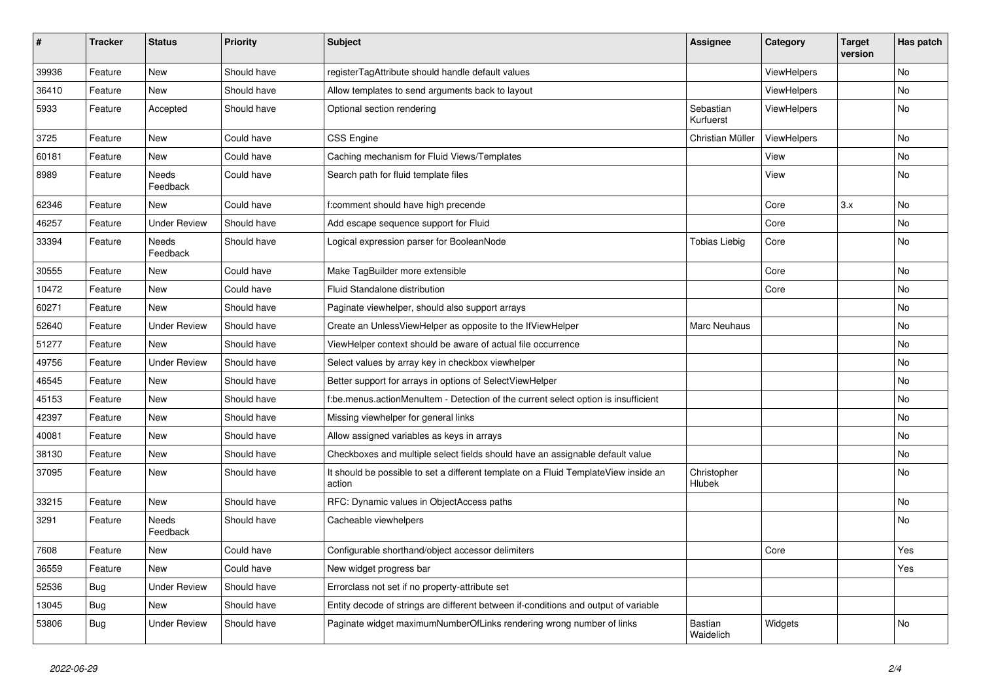| $\vert$ # | <b>Tracker</b> | <b>Status</b>       | <b>Priority</b> | <b>Subject</b>                                                                                | <b>Assignee</b>        | Category           | <b>Target</b><br>version | Has patch |
|-----------|----------------|---------------------|-----------------|-----------------------------------------------------------------------------------------------|------------------------|--------------------|--------------------------|-----------|
| 39936     | Feature        | <b>New</b>          | Should have     | registerTagAttribute should handle default values                                             |                        | <b>ViewHelpers</b> |                          | <b>No</b> |
| 36410     | Feature        | New                 | Should have     | Allow templates to send arguments back to layout                                              |                        | ViewHelpers        |                          | <b>No</b> |
| 5933      | Feature        | Accepted            | Should have     | Optional section rendering                                                                    | Sebastian<br>Kurfuerst | ViewHelpers        |                          | <b>No</b> |
| 3725      | Feature        | New                 | Could have      | <b>CSS Engine</b>                                                                             | Christian Müller       | <b>ViewHelpers</b> |                          | <b>No</b> |
| 60181     | Feature        | New                 | Could have      | Caching mechanism for Fluid Views/Templates                                                   |                        | View               |                          | No        |
| 8989      | Feature        | Needs<br>Feedback   | Could have      | Search path for fluid template files                                                          |                        | View               |                          | No        |
| 62346     | Feature        | New                 | Could have      | f:comment should have high precende                                                           |                        | Core               | 3.x                      | <b>No</b> |
| 46257     | Feature        | <b>Under Review</b> | Should have     | Add escape sequence support for Fluid                                                         |                        | Core               |                          | <b>No</b> |
| 33394     | Feature        | Needs<br>Feedback   | Should have     | Logical expression parser for BooleanNode                                                     | <b>Tobias Liebig</b>   | Core               |                          | No        |
| 30555     | Feature        | New                 | Could have      | Make TagBuilder more extensible                                                               |                        | Core               |                          | <b>No</b> |
| 10472     | Feature        | <b>New</b>          | Could have      | Fluid Standalone distribution                                                                 |                        | Core               |                          | <b>No</b> |
| 60271     | Feature        | <b>New</b>          | Should have     | Paginate viewhelper, should also support arrays                                               |                        |                    |                          | No        |
| 52640     | Feature        | <b>Under Review</b> | Should have     | Create an UnlessViewHelper as opposite to the IfViewHelper                                    | Marc Neuhaus           |                    |                          | <b>No</b> |
| 51277     | Feature        | <b>New</b>          | Should have     | ViewHelper context should be aware of actual file occurrence                                  |                        |                    |                          | <b>No</b> |
| 49756     | Feature        | <b>Under Review</b> | Should have     | Select values by array key in checkbox viewhelper                                             |                        |                    |                          | <b>No</b> |
| 46545     | Feature        | <b>New</b>          | Should have     | Better support for arrays in options of SelectViewHelper                                      |                        |                    |                          | No        |
| 45153     | Feature        | New                 | Should have     | f:be.menus.actionMenuItem - Detection of the current select option is insufficient            |                        |                    |                          | No        |
| 42397     | Feature        | New                 | Should have     | Missing viewhelper for general links                                                          |                        |                    |                          | No        |
| 40081     | Feature        | New                 | Should have     | Allow assigned variables as keys in arrays                                                    |                        |                    |                          | No        |
| 38130     | Feature        | New                 | Should have     | Checkboxes and multiple select fields should have an assignable default value                 |                        |                    |                          | No        |
| 37095     | Feature        | New                 | Should have     | It should be possible to set a different template on a Fluid TemplateView inside an<br>action | Christopher<br>Hlubek  |                    |                          | No        |
| 33215     | Feature        | New                 | Should have     | RFC: Dynamic values in ObjectAccess paths                                                     |                        |                    |                          | <b>No</b> |
| 3291      | Feature        | Needs<br>Feedback   | Should have     | Cacheable viewhelpers                                                                         |                        |                    |                          | No        |
| 7608      | Feature        | New                 | Could have      | Configurable shorthand/object accessor delimiters                                             |                        | Core               |                          | Yes       |
| 36559     | Feature        | <b>New</b>          | Could have      | New widget progress bar                                                                       |                        |                    |                          | Yes       |
| 52536     | <b>Bug</b>     | <b>Under Review</b> | Should have     | Errorclass not set if no property-attribute set                                               |                        |                    |                          |           |
| 13045     | Bug            | New                 | Should have     | Entity decode of strings are different between if-conditions and output of variable           |                        |                    |                          |           |
| 53806     | Bug            | <b>Under Review</b> | Should have     | Paginate widget maximumNumberOfLinks rendering wrong number of links                          | Bastian<br>Waidelich   | Widgets            |                          | <b>No</b> |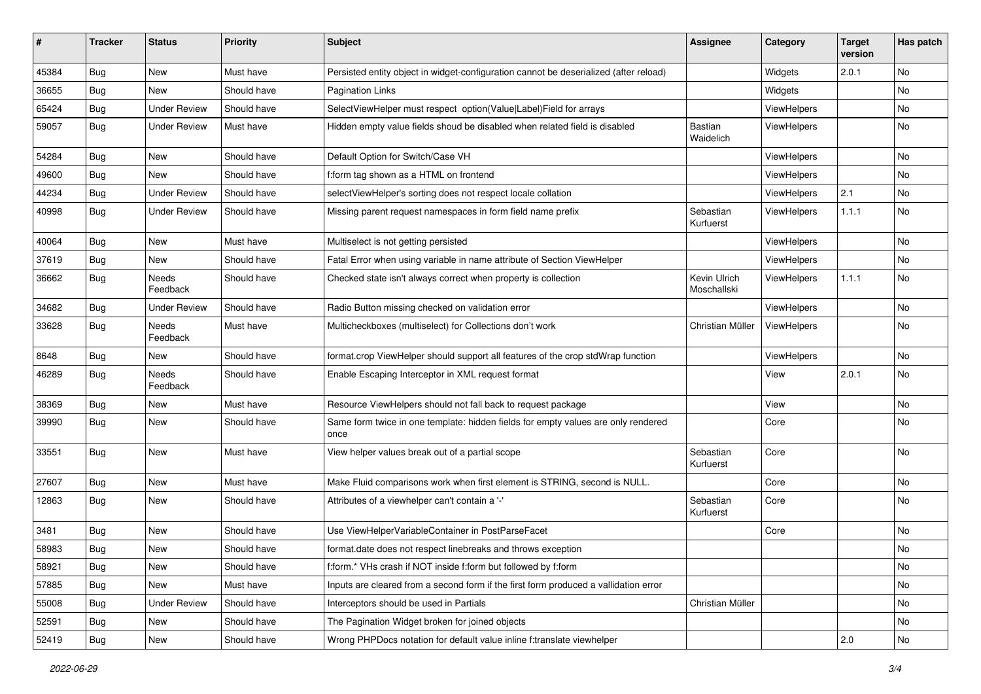| ∦     | <b>Tracker</b> | <b>Status</b>       | <b>Priority</b> | Subject                                                                                   | <b>Assignee</b>             | Category    | <b>Target</b><br>version | Has patch |
|-------|----------------|---------------------|-----------------|-------------------------------------------------------------------------------------------|-----------------------------|-------------|--------------------------|-----------|
| 45384 | Bug            | New                 | Must have       | Persisted entity object in widget-configuration cannot be deserialized (after reload)     |                             | Widgets     | 2.0.1                    | No        |
| 36655 | <b>Bug</b>     | New                 | Should have     | <b>Pagination Links</b>                                                                   |                             | Widgets     |                          | No        |
| 65424 | <b>Bug</b>     | <b>Under Review</b> | Should have     | SelectViewHelper must respect option(Value Label)Field for arrays                         |                             | ViewHelpers |                          | No        |
| 59057 | Bug            | <b>Under Review</b> | Must have       | Hidden empty value fields shoud be disabled when related field is disabled                | <b>Bastian</b><br>Waidelich | ViewHelpers |                          | No        |
| 54284 | Bug            | New                 | Should have     | Default Option for Switch/Case VH                                                         |                             | ViewHelpers |                          | No        |
| 49600 | Bug            | New                 | Should have     | f:form tag shown as a HTML on frontend                                                    |                             | ViewHelpers |                          | No        |
| 44234 | <b>Bug</b>     | <b>Under Review</b> | Should have     | selectViewHelper's sorting does not respect locale collation                              |                             | ViewHelpers | 2.1                      | <b>No</b> |
| 40998 | Bug            | <b>Under Review</b> | Should have     | Missing parent request namespaces in form field name prefix                               | Sebastian<br>Kurfuerst      | ViewHelpers | 1.1.1                    | No        |
| 40064 | Bug            | New                 | Must have       | Multiselect is not getting persisted                                                      |                             | ViewHelpers |                          | No        |
| 37619 | Bug            | New                 | Should have     | Fatal Error when using variable in name attribute of Section ViewHelper                   |                             | ViewHelpers |                          | No        |
| 36662 | <b>Bug</b>     | Needs<br>Feedback   | Should have     | Checked state isn't always correct when property is collection                            | Kevin Ulrich<br>Moschallski | ViewHelpers | 1.1.1                    | No        |
| 34682 | Bug            | <b>Under Review</b> | Should have     | Radio Button missing checked on validation error                                          |                             | ViewHelpers |                          | No        |
| 33628 | <b>Bug</b>     | Needs<br>Feedback   | Must have       | Multicheckboxes (multiselect) for Collections don't work                                  | Christian Müller            | ViewHelpers |                          | No        |
| 8648  | Bug            | New                 | Should have     | format.crop ViewHelper should support all features of the crop stdWrap function           |                             | ViewHelpers |                          | No        |
| 46289 | <b>Bug</b>     | Needs<br>Feedback   | Should have     | Enable Escaping Interceptor in XML request format                                         |                             | View        | 2.0.1                    | No        |
| 38369 | Bug            | New                 | Must have       | Resource ViewHelpers should not fall back to request package                              |                             | View        |                          | No        |
| 39990 | <b>Bug</b>     | New                 | Should have     | Same form twice in one template: hidden fields for empty values are only rendered<br>once |                             | Core        |                          | No        |
| 33551 | Bug            | New                 | Must have       | View helper values break out of a partial scope                                           | Sebastian<br>Kurfuerst      | Core        |                          | <b>No</b> |
| 27607 | Bug            | New                 | Must have       | Make Fluid comparisons work when first element is STRING, second is NULL.                 |                             | Core        |                          | No        |
| 12863 | Bug            | New                 | Should have     | Attributes of a viewhelper can't contain a '-'                                            | Sebastian<br>Kurfuerst      | Core        |                          | <b>No</b> |
| 3481  | Bug            | New                 | Should have     | Use ViewHelperVariableContainer in PostParseFacet                                         |                             | Core        |                          | No        |
| 58983 | Bug            | New                 | Should have     | format.date does not respect linebreaks and throws exception                              |                             |             |                          | No        |
| 58921 | <b>Bug</b>     | New                 | Should have     | f:form.* VHs crash if NOT inside f:form but followed by f:form                            |                             |             |                          | No        |
| 57885 | <b>Bug</b>     | New                 | Must have       | Inputs are cleared from a second form if the first form produced a vallidation error      |                             |             |                          | No        |
| 55008 | <b>Bug</b>     | <b>Under Review</b> | Should have     | Interceptors should be used in Partials                                                   | Christian Müller            |             |                          | No        |
| 52591 | <b>Bug</b>     | New                 | Should have     | The Pagination Widget broken for joined objects                                           |                             |             |                          | No        |
| 52419 | Bug            | New                 | Should have     | Wrong PHPDocs notation for default value inline f:translate viewhelper                    |                             |             | $\vert$ 2.0              | No        |